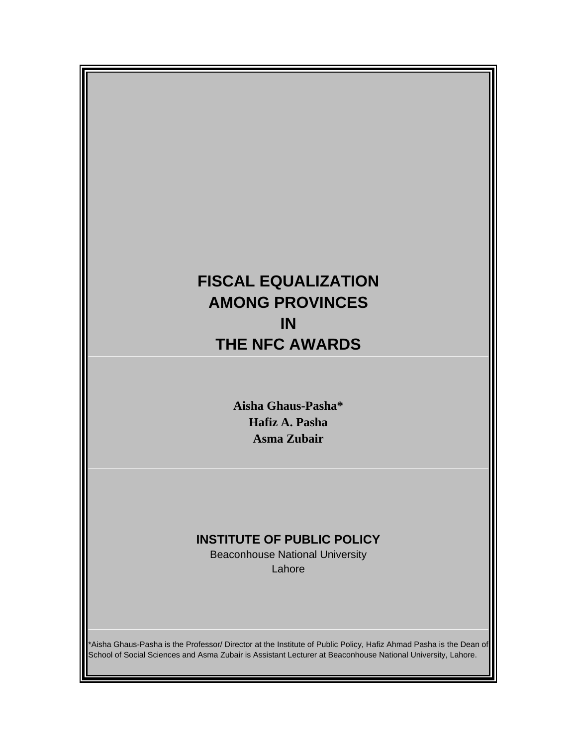# **FISCAL EQUALIZATION AMONG PROVINCES IN THE NFC AWARDS**

**Aisha Ghaus-Pasha\* Hafiz A. Pasha Asma Zubair**

# **INSTITUTE OF PUBLIC POLICY**

Beaconhouse National University Lahore **International Community of the Community of Technical Community of Technical Community of Technical Community of Technical Community of Technical Community of Technical Community of Technical Community of Technical** 

\*Aisha Ghaus-Pasha is the Professor/ Director at the Institute of Public Policy, Hafiz Ahmad Pasha is the Dean of School of Social Sciences and Asma Zubair is Assistant Lecturer at Beaconhouse National University, Lahore.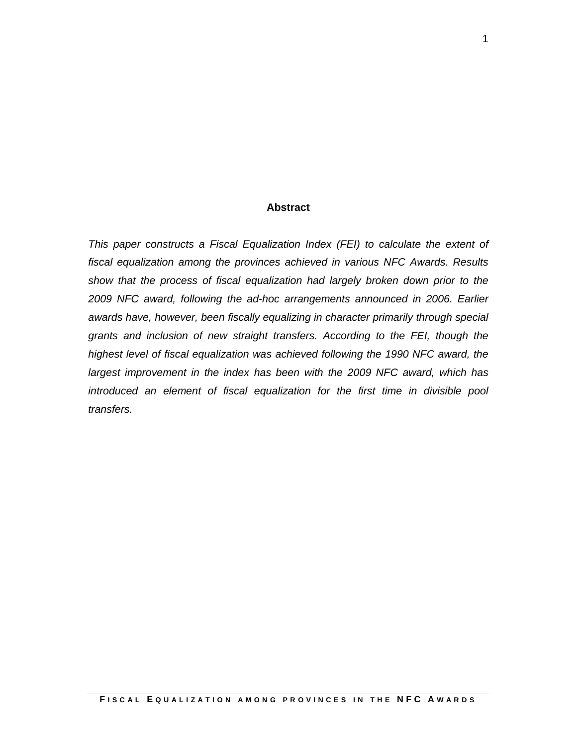#### **Abstract**

This paper constructs a Fiscal Equalization Index (FEI) to calculate the extent of fiscal equalization among the provinces achieved in various NFC Awards. Results show that the process of fiscal equalization had largely broken down prior to the 2009 NFC award, following the ad-hoc arrangements announced in 2006. Earlier awards have, however, been fiscally equalizing in character primarily through special grants and inclusion of new straight transfers. According to the FEI, though the highest level of fiscal equalization was achieved following the 1990 NFC award, the largest improvement in the index has been with the 2009 NFC award, which has introduced an element of fiscal equalization for the first time in divisible pool transfers.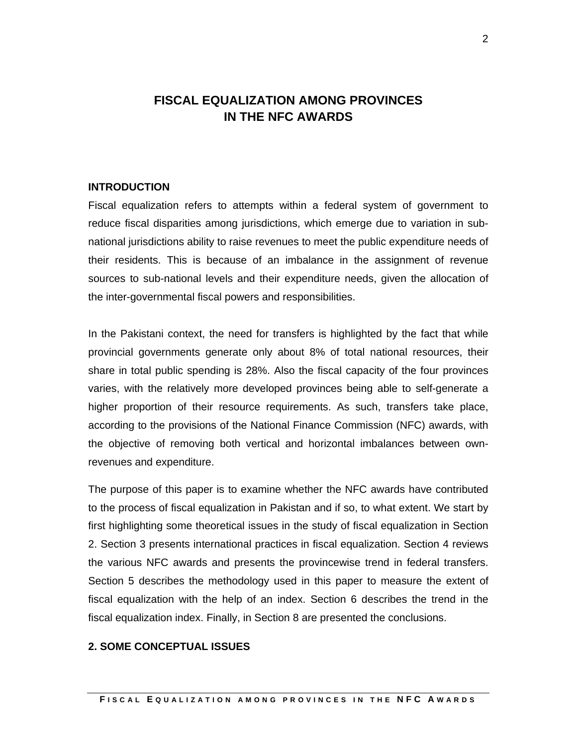# **FISCAL EQUALIZATION AMONG PROVINCES IN THE NFC AWARDS**

#### **INTRODUCTION**

Fiscal equalization refers to attempts within a federal system of government to reduce fiscal disparities among jurisdictions, which emerge due to variation in sub national jurisdictions ability to raise revenues to meet the public expenditure needs of their residents. This is because of an imbalance in the assignment of revenue sources to sub-national levels and their expenditure needs, given the allocation of the inter-governmental fiscal powers and responsibilities.

In the Pakistani context, the need for transfers is highlighted by the fact that while provincial governments generate only about 8% of total national resources, their share in total public spending is 28%. Also the fiscal capacity of the four provinces varies, with the relatively more developed provinces being able to self-generate a higher proportion of their resource requirements. As such, transfers take place, according to the provisions of the National Finance Commission (NFC) awards, with the objective of removing both vertical and horizontal imbalances between ownrevenues and expenditure.

The purpose of this paper is to examine whether the NFC awards have contributed to the process of fiscal equalization in Pakistan and if so, to what extent. We start by first highlighting some theoretical issues in the study of fiscal equalization in Section 2. Section 3 presents international practices in fiscal equalization. Section 4 reviews the various NFC awards and presents the provincewise trend in federal transfers. Section 5 describes the methodology used in this paper to measure the extent of fiscal equalization with the help of an index. Section 6 describes the trend in the fiscal equalization index. Finally, in Section 8 are presented the conclusions.

### **2. SOME CONCEPTUAL ISSUES**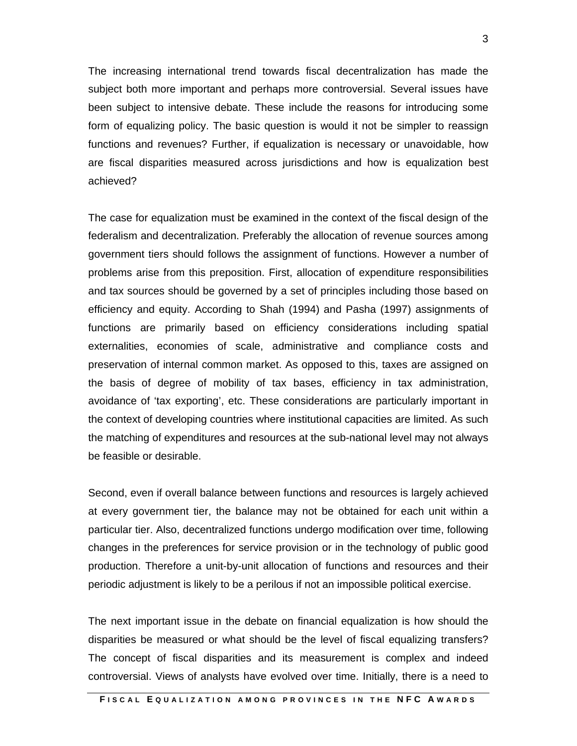The increasing international trend towards fiscal decentralization has made the subject both more important and perhaps more controversial. Several issues have been subject to intensive debate. These include the reasons for introducing some form of equalizing policy. The basic question is would it not be simpler to reassign functions and revenues? Further, if equalization is necessary or unavoidable, how are fiscal disparities measured across jurisdictions and how is equalization best achieved?

The case for equalization must be examined in the context of the fiscal design of the federalism and decentralization. Preferably the allocation of revenue sources among government tiers should follows the assignment of functions. However a number of problems arise from this preposition. First, allocation of expenditure responsibilities and tax sources should be governed by a set of principles including those based on efficiency and equity. According to Shah (1994) and Pasha (1997) assignments of functions are primarily based on efficiency considerations including spatial externalities, economies of scale, administrative and compliance costs and preservation of internal common market. As opposed to this, taxes are assigned on the basis of degree of mobility of tax bases, efficiency in tax administration, avoidance of 'tax exporting', etc. These considerations are particularly important in the context of developing countries where institutional capacities are limited. As such the matching of expenditures and resources at the sub-national level may not always be feasible or desirable.

Second, even if overall balance between functions and resources is largely achieved at every government tier, the balance may not be obtained for each unit within a particular tier. Also, decentralized functions undergo modification over time, following changes in the preferences for service provision or in the technology of public good production. Therefore a unit-by-unit allocation of functions and resources and their periodic adjustment is likely to be a perilous if not an impossible political exercise.

The next important issue in the debate on financial equalization is how should the disparities be measured or what should be the level of fiscal equalizing transfers? The concept of fiscal disparities and its measurement is complex and indeed controversial. Views of analysts have evolved over time. Initially, there is a need to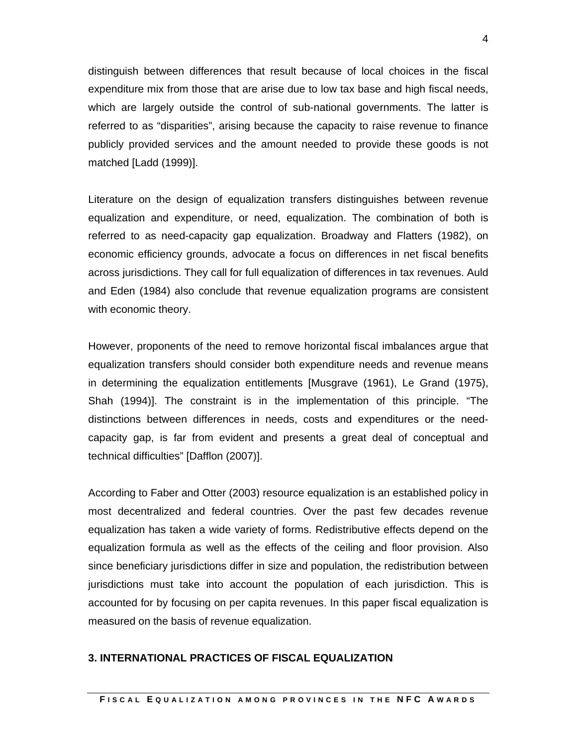distinguish between differences that result because of local choices in the fiscal expenditure mix from those that are arise due to low tax base and high fiscal needs, which are largely outside the control of sub-national governments. The latter is referred to as "disparities", arising because the capacity to raise revenue to finance publicly provided services and the amount needed to provide these goods is not matched [Ladd (1999)].

Literature on the design of equalization transfers distinguishes between revenue equalization and expenditure, or need, equalization. The combination of both is referred to as need-capacity gap equalization. Broadway and Flatters (1982), on economic efficiency grounds, advocate a focus on differences in net fiscal benefits across jurisdictions. They call for full equalization of differences in tax revenues. Auld and Eden (1984) also conclude that revenue equalization programs are consistent with economic theory.

However, proponents of the need to remove horizontal fiscal imbalances argue that equalization transfers should consider both expenditure needs and revenue means in determining the equalization entitlements [Musgrave (1961), Le Grand (1975), Shah (1994)]. The constraint is in the implementation of this principle. "The distinctions between differences in needs, costs and expenditures or the need capacity gap, is far from evident and presents a great deal of conceptual and technical difficulties" [Dafflon (2007)].

According to Faber and Otter (2003) resource equalization is an established policy in most decentralized and federal countries. Over the past few decades revenue equalization has taken a wide variety of forms. Redistributive effects depend on the equalization formula as well as the effects of the ceiling and floor provision. Also since beneficiary jurisdictions differ in size and population, the redistribution between jurisdictions must take into account the population of each jurisdiction. This is accounted for by focusing on per capita revenues. In this paper fiscal equalization is measured on the basis of revenue equalization.

# **3. INTERNATIONAL PRACTICES OF FISCAL EQUALIZATION**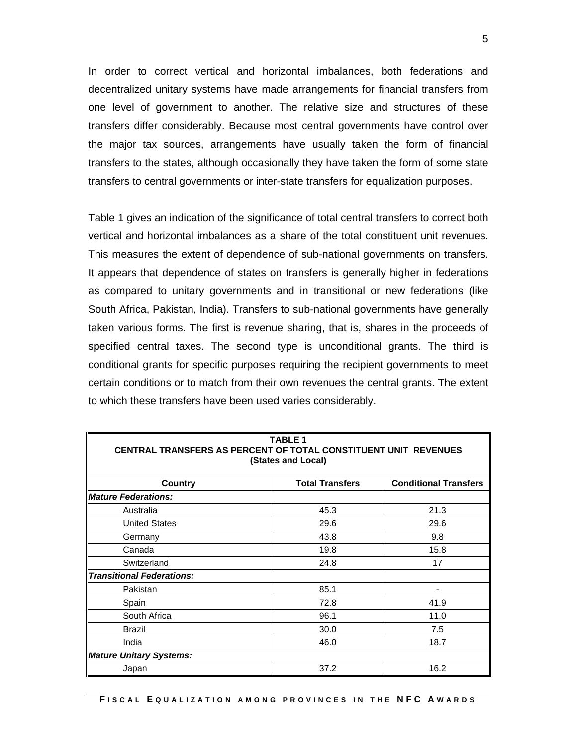In order to correct vertical and horizontal imbalances, both federations and decentralized unitary systems have made arrangements for financial transfers from one level of government to another. The relative size and structures of these transfers differ considerably. Because most central governments have control over the major tax sources, arrangements have usually taken the form of financial transfers to the states, although occasionally they have taken the form of some state transfers to central governments or inter-state transfers for equalization purposes.

Table 1 gives an indication of the significance of total central transfers to correct both vertical and horizontal imbalances as a share of the total constituent unit revenues. This measures the extent of dependence of sub-national governments on transfers. It appears that dependence of states on transfers is generally higher in federations as compared to unitary governments and in transitional or new federations (like South Africa, Pakistan, India). Transfers to sub-national governments have generally taken various forms. The first is revenue sharing, that is, shares in the proceeds of specified central taxes. The second type is unconditional grants. The third is conditional grants for specific purposes requiring the recipient governments to meet certain conditions or to match from their own revenues the central grants. The extent to which these transfers have been used varies considerably.

|                                  | <b>TABLE 1</b><br>CENTRAL TRANSFERS AS PERCENT OF TOTAL CONSTITUENT UNIT REVENUES<br>(States and Local) |                              |
|----------------------------------|---------------------------------------------------------------------------------------------------------|------------------------------|
| <b>Country</b>                   | <b>Total Transfers</b>                                                                                  | <b>Conditional Transfers</b> |
| <b>Mature Federations:</b>       |                                                                                                         |                              |
| Australia                        | 45.3                                                                                                    | 21.3                         |
| <b>United States</b>             | 29.6                                                                                                    | 29.6                         |
| Germany                          | 43.8                                                                                                    | 9.8                          |
| Canada                           | 19.8                                                                                                    | 15.8                         |
| Switzerland                      | 24.8                                                                                                    | 17                           |
| <b>Transitional Federations:</b> |                                                                                                         |                              |
| Pakistan                         | 85.1                                                                                                    |                              |
| Spain                            | 72.8                                                                                                    | 41.9                         |
| South Africa                     | 96.1                                                                                                    | 11.0                         |
| Brazil                           | 30.0                                                                                                    | 7.5                          |
| India                            | 46.0                                                                                                    | 18.7                         |
| <b>Mature Unitary Systems:</b>   |                                                                                                         |                              |
| Japan                            | 37.2                                                                                                    | 16.2                         |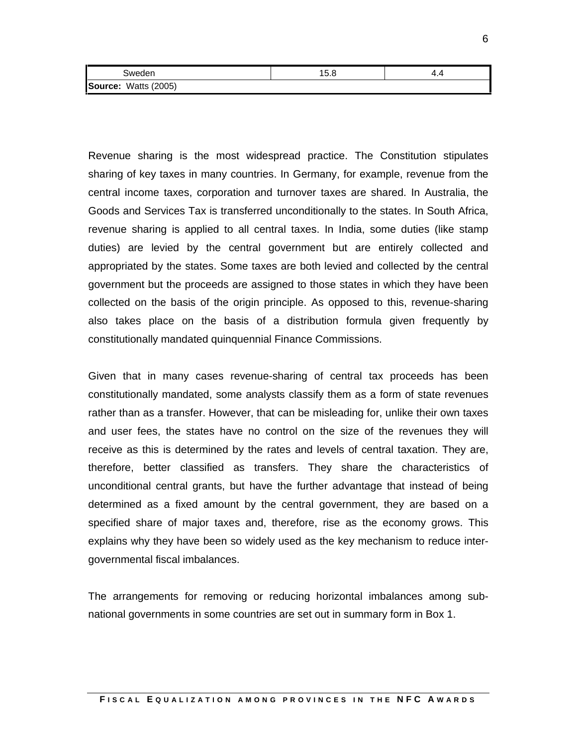Revenue sharing is the most widespread practice. The Constitution stipulates sharing of key taxes in many countries. In Germany, for example, revenue from the central income taxes, corporation and turnover taxes are shared. In Australia, the Goods and Services Tax is transferred unconditionally to the states. In South Africa, revenue sharing is applied to all central taxes. In India, some duties (like stamp duties) are levied by the central government but are entirely collected and appropriated by the states. Some taxes are both levied and collected by the central government but the proceeds are assigned to those states in which they have been collected on the basis of the origin principle. As opposed to this, revenue-sharing also takes place on the basis of a distribution formula given frequently by constitutionally mandated quinquennial Finance Commissions.

Given that in many cases revenue-sharing of central tax proceeds has been constitutionally mandated, some analysts classify them as a form of state revenues rather than as a transfer. However, that can be misleading for, unlike their own taxes and user fees, the states have no control on the size of the revenues they will receive as this is determined by the rates and levels of central taxation. They are, therefore, better classified as transfers. They share the characteristics of unconditional central grants, but have the further advantage that instead of being determined as a fixed amount by the central government, they are based on a specified share of major taxes and, therefore, rise as the economy grows. This explains why they have been so widely used as the key mechanism to reduce inter governmental fiscal imbalances.

The arrangements for removing or reducing horizontal imbalances among sub national governments in some countries are set out in summary form in Box 1.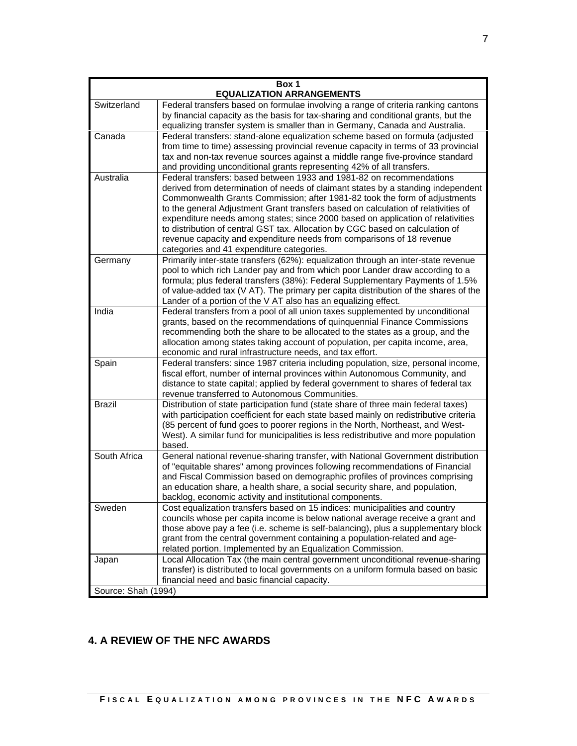|                     | Box 1                                                                                 |
|---------------------|---------------------------------------------------------------------------------------|
|                     | <b>EQUALIZATION ARRANGEMENTS</b>                                                      |
| Switzerland         | Federal transfers based on formulae involving a range of criteria ranking cantons     |
|                     | by financial capacity as the basis for tax-sharing and conditional grants, but the    |
|                     | equalizing transfer system is smaller than in Germany, Canada and Australia.          |
| Canada              | Federal transfers: stand-alone equalization scheme based on formula (adjusted         |
|                     | from time to time) assessing provincial revenue capacity in terms of 33 provincial    |
|                     | tax and non-tax revenue sources against a middle range five-province standard         |
|                     | and providing unconditional grants representing 42% of all transfers.                 |
| Australia           | Federal transfers: based between 1933 and 1981-82 on recommendations                  |
|                     | derived from determination of needs of claimant states by a standing independent      |
|                     |                                                                                       |
|                     | Commonwealth Grants Commission; after 1981-82 took the form of adjustments            |
|                     | to the general Adjustment Grant transfers based on calculation of relativities of     |
|                     | expenditure needs among states; since 2000 based on application of relativities       |
|                     | to distribution of central GST tax. Allocation by CGC based on calculation of         |
|                     | revenue capacity and expenditure needs from comparisons of 18 revenue                 |
|                     | categories and 41 expenditure categories.                                             |
| Germany             | Primarily inter-state transfers (62%): equalization through an inter-state revenue    |
|                     | pool to which rich Lander pay and from which poor Lander draw according to a          |
|                     | formula; plus federal transfers (38%): Federal Supplementary Payments of 1.5%         |
|                     | of value-added tax (V AT). The primary per capita distribution of the shares of the   |
|                     | Lander of a portion of the V AT also has an equalizing effect.                        |
| India               | Federal transfers from a pool of all union taxes supplemented by unconditional        |
|                     | grants, based on the recommendations of quinquennial Finance Commissions              |
|                     | recommending both the share to be allocated to the states as a group, and the         |
|                     | allocation among states taking account of population, per capita income, area,        |
|                     | economic and rural infrastructure needs, and tax effort.                              |
| Spain               | Federal transfers: since 1987 criteria including population, size, personal income,   |
|                     |                                                                                       |
|                     | fiscal effort, number of internal provinces within Autonomous Community, and          |
|                     | distance to state capital; applied by federal government to shares of federal tax     |
|                     | revenue transferred to Autonomous Communities.                                        |
| Brazil              | Distribution of state participation fund (state share of three main federal taxes)    |
|                     | with participation coefficient for each state based mainly on redistributive criteria |
|                     | (85 percent of fund goes to poorer regions in the North, Northeast, and West-         |
|                     | West). A similar fund for municipalities is less redistributive and more population   |
|                     | based                                                                                 |
| South Africa        | General national revenue-sharing transfer, with National Government distribution      |
|                     | of "equitable shares" among provinces following recommendations of Financial          |
|                     | and Fiscal Commission based on demographic profiles of provinces comprising           |
|                     | an education share, a health share, a social security share, and population,          |
|                     | backlog, economic activity and institutional components.                              |
| Sweden              | Cost equalization transfers based on 15 indices: municipalities and country           |
|                     | councils whose per capita income is below national average receive a grant and        |
|                     | those above pay a fee (i.e. scheme is self-balancing), plus a supplementary block     |
|                     | grant from the central government containing a population-related and age-            |
|                     | related portion. Implemented by an Equalization Commission.                           |
|                     |                                                                                       |
| Japan               | Local Allocation Tax (the main central government unconditional revenue-sharing       |
|                     | transfer) is distributed to local governments on a uniform formula based on basic     |
|                     | financial need and basic financial capacity.                                          |
| Source: Shah (1994) |                                                                                       |

# **4. A REVIEW OF THE NFC AWARDS**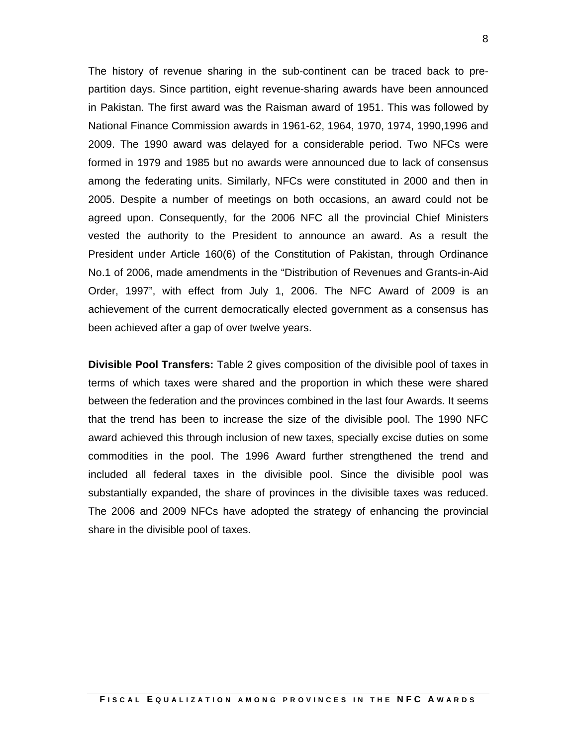The history of revenue sharing in the sub-continent can be traced back to pre partition days. Since partition, eight revenue-sharing awards have been announced in Pakistan. The first award was the Raisman award of 1951. This was followed by National Finance Commission awards in 1961-62, 1964, 1970, 1974, 1990,1996 and 2009. The 1990 award was delayed for a considerable period. Two NFCs were formed in 1979 and 1985 but no awards were announced due to lack of consensus among the federating units. Similarly, NFCs were constituted in 2000 and then in 2005. Despite a number of meetings on both occasions, an award could not be agreed upon. Consequently, for the 2006 NFC all the provincial Chief Ministers vested the authority to the President to announce an award. As a result the President under Article 160(6) of the Constitution of Pakistan, through Ordinance No.1 of 2006, made amendments in the "Distribution of Revenues and Grants-in-Aid Order, 1997", with effect from July 1, 2006. The NFC Award of 2009 is an achievement of the current democratically elected government as a consensus has been achieved after a gap of over twelve years.

**Divisible Pool Transfers:** Table 2 gives composition of the divisible pool of taxes in terms of which taxes were shared and the proportion in which these were shared between the federation and the provinces combined in the last four Awards. It seems that the trend has been to increase the size of the divisible pool. The 1990 NFC award achieved this through inclusion of new taxes, specially excise duties on some commodities in the pool. The 1996 Award further strengthened the trend and included all federal taxes in the divisible pool. Since the divisible pool was substantially expanded, the share of provinces in the divisible taxes was reduced. The 2006 and 2009 NFCs have adopted the strategy of enhancing the provincial share in the divisible pool of taxes.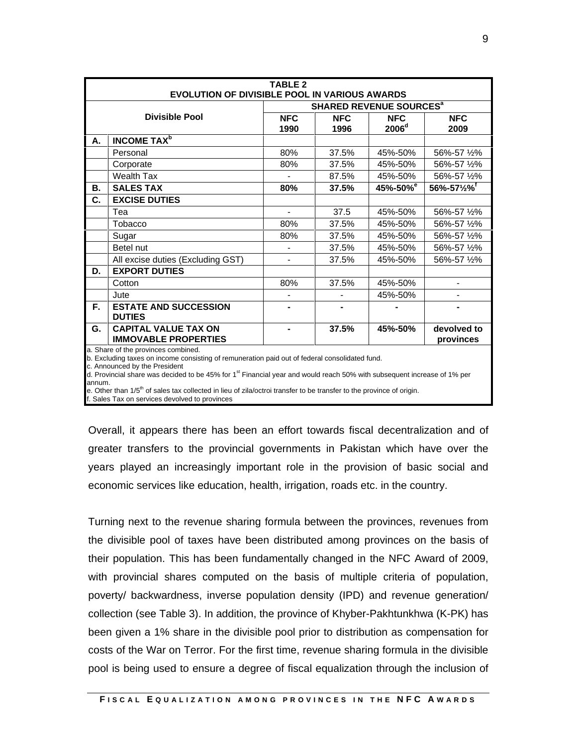|                                                     | <b>TABLE 2</b>     |                    |                                           |                          |
|-----------------------------------------------------|--------------------|--------------------|-------------------------------------------|--------------------------|
| EVOLUTION OF DIVISIBLE POOL IN VARIOUS AWARDS       |                    |                    |                                           |                          |
|                                                     |                    |                    | <b>SHARED REVENUE SOURCES<sup>a</sup></b> |                          |
| <b>Divisible Pool</b>                               | <b>NFC</b><br>1990 | <b>NFC</b><br>1996 | <b>NFC</b><br>2006 <sup>d</sup>           | <b>NFC</b><br>2009       |
| $\blacksquare$ INCOME TAX <sup>b</sup>              |                    |                    |                                           |                          |
| Personal                                            | 80%                | 37.5%              | 45%-50%                                   | 56%-57 1/2%              |
| Corporate                                           | 80%                | 37.5%              | 45%-50%                                   | 56%-57 1/2%              |
| <b>Wealth Tax</b>                                   |                    | 87.5%              | 45%-50%                                   | 56%-57 1/2%              |
| SALES TAX                                           | 80%                | 37.5%              | 45%-50% <sup>e</sup>                      | $56\% - 57\frac{1}{2}\%$ |
| .   EXCISE DUTIES                                   |                    |                    |                                           |                          |
|                                                     |                    | 37.5               | 45%-50%                                   | 56%-57 1/2%              |
| Tobacco                                             | 80%                | 37.5%              | 45%-50%                                   | 56%-57 1/2%              |
| Sugar                                               | 80%                | 37.5%              | 45%-50%                                   | 56%-57 ½%                |
| Betel nut                                           |                    | 37.5%              | 45%-50%                                   | 56%-57 1/2%              |
| All excise duties (Excluding GST)                   |                    | 37.5%              | 45%-50%                                   | 56%-57 1/2%              |
| FXPORT DUTIES                                       |                    |                    |                                           |                          |
| Cotton                                              | 80%                | 37.5%              | 45%-50%                                   |                          |
|                                                     |                    |                    | 45%-50%                                   |                          |
| <b>ESTATE AND SUCCESSION</b><br><b>DUTIES</b>       |                    |                    | . .                                       |                          |
| CAPITAL VALUE TAX ON<br><b>IMMOVABLE PROPERTIES</b> |                    | 37.5%              | 45%-50%                                   | devolved to              |
| Share of the provinces combined.                    |                    |                    |                                           | provinces                |

b. Excluding taxes on income consisting of remuneration paid out of federal consolidated fund.

c. Announced by the President

d. Provincial share was decided to be 45% for 1<sup>st</sup> Financial year and would reach 50% with subsequent increase of 1% per<br>annum.

e. Other than 1/5<sup>th</sup> of sales tax collected in lieu of zila/octroi transfer to be transfer to the province of origin.

f. Sales Tax on services devolved to provinces

Overall, it appears there has been an effort towards fiscal decentralization and of greater transfers to the provincial governments in Pakistan which have over the years played an increasingly important role in the provision of basic social and economic services like education, health, irrigation, roads etc. in the country.

Turning next to the revenue sharing formula between the provinces, revenues from the divisible pool of taxes have been distributed among provinces on the basis of their population. This has been fundamentally changed in the NFC Award of 2009, with provincial shares computed on the basis of multiple criteria of population, poverty/ backwardness, inverse population density (IPD) and revenue generation/ collection (see Table 3). In addition, the province of Khyber-Pakhtunkhwa (K-PK) has been given a 1% share in the divisible pool prior to distribution as compensation for costs of the War on Terror. For the first time, revenue sharing formula in the divisible pool is being used to ensure a degree of fiscal equalization through the inclusion of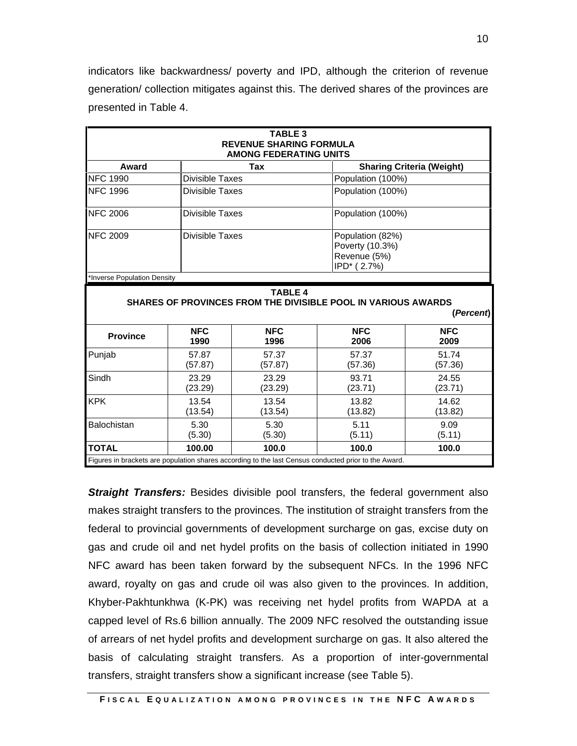indicators like backwardness/ poverty and IPD, although the criterion of revenue generation/ collection mitigates against this. The derived shares of the provinces are presented in Table 4.

|                             |                                                                                                      | <b>TABLE 3</b><br><b>REVENUE SHARING FORMULA</b> |                                                                                     |                                  |  |  |
|-----------------------------|------------------------------------------------------------------------------------------------------|--------------------------------------------------|-------------------------------------------------------------------------------------|----------------------------------|--|--|
| Award                       |                                                                                                      | <b>AMONG FEDERATING UNITS</b><br>Tax             |                                                                                     |                                  |  |  |
| <b>NFC 1990</b>             | <b>Divisible Taxes</b>                                                                               |                                                  | Population (100%)                                                                   | <b>Sharing Criteria (Weight)</b> |  |  |
| <b>NFC 1996</b>             | <b>Divisible Taxes</b>                                                                               |                                                  | Population (100%)                                                                   |                                  |  |  |
|                             |                                                                                                      |                                                  |                                                                                     |                                  |  |  |
| <b>NFC 2006</b>             | <b>Divisible Taxes</b>                                                                               |                                                  | Population (100%)                                                                   |                                  |  |  |
| <b>NFC 2009</b>             | Divisible Taxes                                                                                      |                                                  | Population (82%)<br>Poverty (10.3%)<br>Revenue (5%)<br>IPD <sup>*</sup> (2.7%)      |                                  |  |  |
| *Inverse Population Density |                                                                                                      |                                                  |                                                                                     |                                  |  |  |
| <b>Province</b>             | <b>NFC</b><br>1990                                                                                   | <b>TABLE 4</b><br><b>NFC</b><br>1996             | SHARES OF PROVINCES FROM THE DIVISIBLE POOL IN VARIOUS AWARDS<br><b>NFC</b><br>2006 | (Percent)<br><b>NFC</b><br>2009  |  |  |
| Punjab                      | 57.87                                                                                                | 57.37                                            | 57.37                                                                               | 51.74                            |  |  |
|                             | (57.87)                                                                                              | (57.87)                                          | (57.36)                                                                             | (57.36)                          |  |  |
| Sindh                       | 23.29<br>(23.29)                                                                                     | 23.29<br>(23.29)                                 | 93.71<br>(23.71)                                                                    | 24.55<br>(23.71)                 |  |  |
| <b>KPK</b>                  | 13.54                                                                                                | 13.54                                            | 13.82                                                                               | 14.62                            |  |  |
|                             | (13.54)                                                                                              | (13.54)                                          | (13.82)                                                                             | (13.82)                          |  |  |
| Balochistan                 | 5.30                                                                                                 | 5.30                                             | 5.11                                                                                | 9.09                             |  |  |
|                             | (5.30)                                                                                               | (5.30)                                           | (5.11)                                                                              | (5.11)                           |  |  |
| <b>TOTAL</b>                | 100.00                                                                                               | 100.0                                            | 100.0                                                                               | 100.0                            |  |  |
|                             | Figures in brackets are population shares according to the last Census conducted prior to the Award. |                                                  |                                                                                     |                                  |  |  |

**Straight Transfers:** Besides divisible pool transfers, the federal government also makes straight transfers to the provinces. The institution of straight transfers from the federal to provincial governments of development surcharge on gas, excise duty on gas and crude oil and net hydel profits on the basis of collection initiated in 1990 NFC award has been taken forward by the subsequent NFCs. In the 1996 NFC award, royalty on gas and crude oil was also given to the provinces. In addition, Khyber-Pakhtunkhwa (K-PK) was receiving net hydel profits from WAPDA at a capped level of Rs.6 billion annually. The 2009 NFC resolved the outstanding issue of arrears of net hydel profits and development surcharge on gas. It also altered the basis of calculating straight transfers. As a proportion of inter-governmental transfers, straight transfers show a significant increase (see Table 5).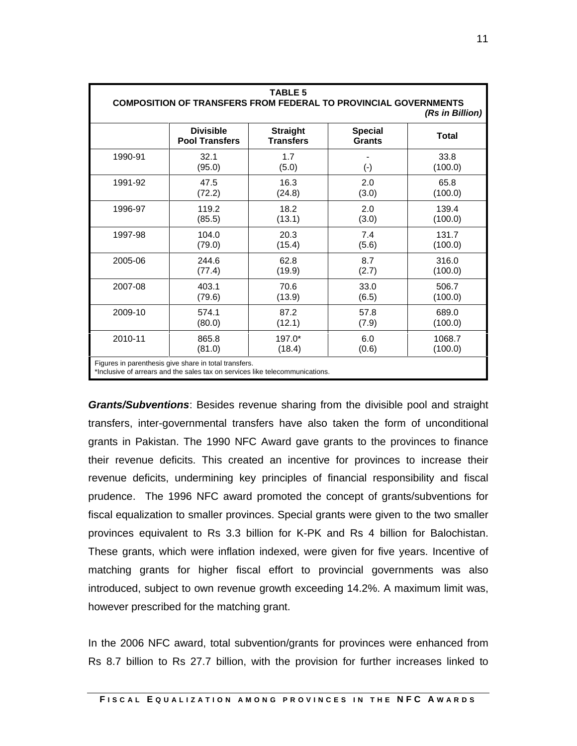| <b>TABLE 5</b>                      |                                      | (Rs in Billion)                                                                                     |
|-------------------------------------|--------------------------------------|-----------------------------------------------------------------------------------------------------|
| <b>Straight</b><br><b>Transfers</b> | <b>Special</b><br><b>Grants</b>      | <b>Total</b>                                                                                        |
| 1.7<br>(5.0)                        | $\sim$ $-$<br>$(\textnormal{-})$     | 33.8<br>(100.0)                                                                                     |
| 16.3<br>(24.8)                      | 2.0<br>(3.0)                         | 65.8<br>(100.0)                                                                                     |
| 18.2<br>(13.1)                      | 2.0<br>(3.0)                         | 139.4<br>(100.0)                                                                                    |
| 20.3                                | 7.4                                  | 131.7<br>(100.0)                                                                                    |
| 62.8                                | 8.7                                  | 316.0<br>(100.0)                                                                                    |
| 70.6                                | 33.0                                 | 506.7<br>(100.0)                                                                                    |
| 87.2                                | 57.8                                 | 689.0<br>(100.0)                                                                                    |
| 197.0*<br>(18.4)                    | 6.0<br>(0.6)                         | 1068.7<br>(100.0)                                                                                   |
| <b>Pool Transfers</b>               | (15.4)<br>(19.9)<br>(13.9)<br>(12.1) | COMPOSITION OF TRANSFERS FROM FEDERAL TO PROVINCIAL GOVERNMENTS<br>(5.6)<br>(2.7)<br>(6.5)<br>(7.9) |

**Grants/Subventions**: Besides revenue sharing from the divisible pool and straight transfers, inter-governmental transfers have also taken the form of unconditional grants in Pakistan. The 1990 NFC Award gave grants to the provinces to finance their revenue deficits. This created an incentive for provinces to increase their revenue deficits, undermining key principles of financial responsibility and fiscal prudence. The 1996 NFC award promoted the concept of grants/subventions for fiscal equalization to smaller provinces. Special grants were given to the two smaller provinces equivalent to Rs 3.3 billion for K-PK and Rs 4 billion for Balochistan. These grants, which were inflation indexed, were given for five years. Incentive of matching grants for higher fiscal effort to provincial governments was also introduced, subject to own revenue growth exceeding 14.2%. A maximum limit was, however prescribed for the matching grant.

In the 2006 NFC award, total subvention/grants for provinces were enhanced from Rs 8.7 billion to Rs 27.7 billion, with the provision for further increases linked to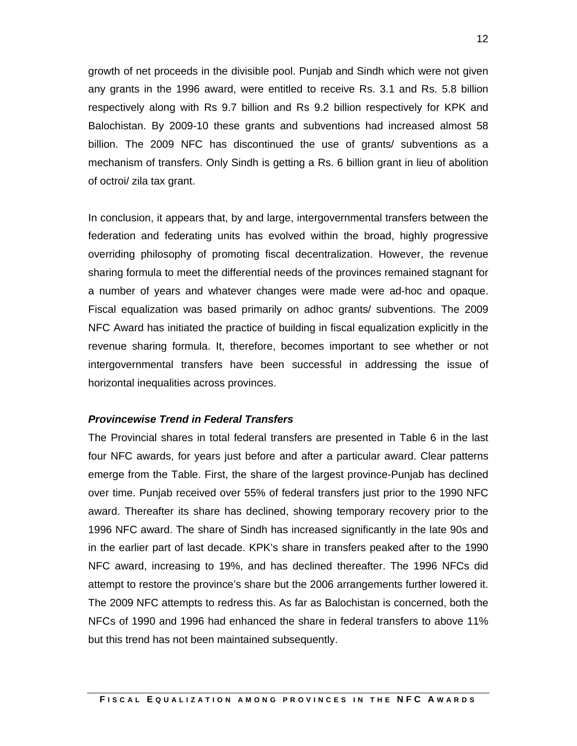growth of net proceeds in the divisible pool. Punjab and Sindh which were not given any grants in the 1996 award, were entitled to receive Rs. 3.1 and Rs. 5.8 billion respectively along with Rs 9.7 billion and Rs 9.2 billion respectively for KPK and Balochistan. By 2009-10 these grants and subventions had increased almost 58 billion. The 2009 NFC has discontinued the use of grants/ subventions as a mechanism of transfers. Only Sindh is getting a Rs. 6 billion grant in lieu of abolition of octroi/ zila tax grant.

In conclusion, it appears that, by and large, intergovernmental transfers between the federation and federating units has evolved within the broad, highly progressive overriding philosophy of promoting fiscal decentralization. However, the revenue sharing formula to meet the differential needs of the provinces remained stagnant for a number of years and whatever changes were made were ad-hoc and opaque. Fiscal equalization was based primarily on adhoc grants/ subventions. The 2009 NFC Award has initiated the practice of building in fiscal equalization explicitly in the revenue sharing formula. It, therefore, becomes important to see whether or not intergovernmental transfers have been successful in addressing the issue of horizontal inequalities across provinces.

### **Provincewise Trend in Federal Transfers**

The Provincial shares in total federal transfersare presented in Table 6 in the last four NFC awards, for years just before and after a particular award. Clear patterns emerge from the Table. First, the share of the largest province-Punjab has declined over time. Punjab received over 55% of federal transfers just prior to the 1990 NFC award. Thereafter its share has declined, showing temporary recovery prior to the 1996 NFC award. The share of Sindh has increased significantly in the late 90s and in the earlier part of last decade. KPK's share in transfers peaked after to the 1990 NFC award, increasing to 19%, and has declined thereafter. The 1996 NFCs did attempt to restore the province's share but the 2006 arrangements further lowered it. The 2009 NFC attempts to redress this. As far as Balochistan is concerned, both the NFCs of 1990 and 1996 had enhanced the share in federal transfers to above 11% but this trend has not been maintained subsequently.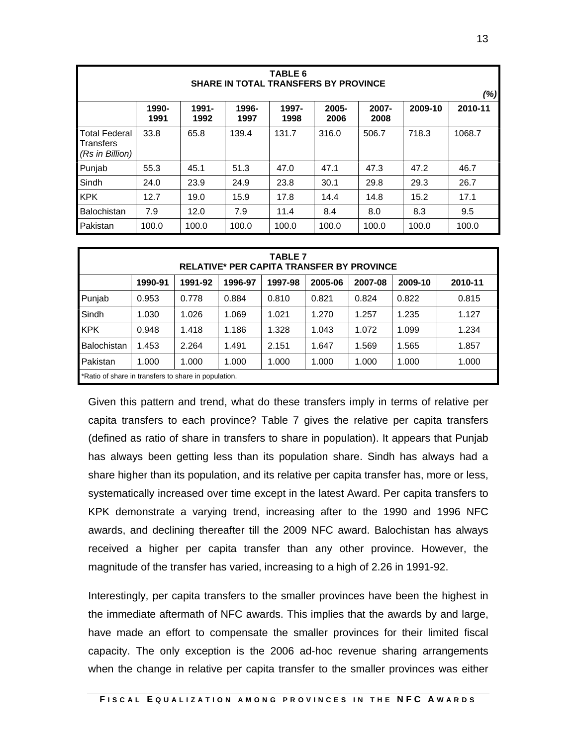|                                                    |               |               |               | <b>TABLE 6</b> | SHARE IN TOTAL TRANSFERS BY PROVINCE |               |         |         |
|----------------------------------------------------|---------------|---------------|---------------|----------------|--------------------------------------|---------------|---------|---------|
|                                                    | 1990-<br>1991 | 1991-<br>1992 | 1996-<br>1997 | 1997-<br>1998  | 2005-<br>2006                        | 2007-<br>2008 | 2009-10 | 2010-11 |
| Total Federal 33.8<br>Transfers<br>(Rs in Billion) |               | 65.8          | 139.4         | 131.7          | 316.0                                | 506.7         | 718.3   | 1068.7  |
| Punjab                                             | 55.3          | 45.1          | 51.3          | 47.0           | 47.1                                 | 47.3          | 47.2    | 46.7    |
| Sindh                                              | 24.0          | 23.9          | 24.9          | 23.8           | 30.1                                 | 29.8          | 29.3    | 26.7    |
| KPK                                                | 12.7          | 19.0          | 15.9          | 17.8           | 14.4                                 | 14.8          | 15.2    | 17.1    |
| Balochistan                                        | 7.9           | 12.0          | 7.9           | 11.4           | 8.4                                  |               | 0.0     | 9.5     |
| Pakistan                                           | 100.0         | 100.0         | 100.0         | 100.0          | 100.0                                | 100.0         | 100.0   | 100.0   |

| <b>TABLE 7</b><br>RELATIVE* PER CAPITA TRANSFER BY PROVINCE |                                                      |       |       |       |                             |       |         |         |
|-------------------------------------------------------------|------------------------------------------------------|-------|-------|-------|-----------------------------|-------|---------|---------|
|                                                             | 1990-91                                              |       |       |       | 1997-98   2005-06   2007-08 |       | 2009-10 | 2010-11 |
| Punjab                                                      | 0.953                                                | 0.778 | 0.884 | 0.810 | 0.821                       | 0.824 | 0.822   | 0.815   |
| Sindh                                                       | 1.030                                                | 1.026 | 1.069 | 1.021 | 1.270                       | 1.257 | 1.235   | 1.127   |
| <b>KPK</b>                                                  | 0.948                                                | 1.418 | 1.186 | 1.328 | 1.043                       | 1.072 | 1.099   | 1.234   |
| Balochistan                                                 | 1.453                                                | 2.264 | 1.491 | 2.151 | 1.647                       | 1.569 | 1.565   | 1.857   |
| Pakistan                                                    | 1.000                                                | 1.000 | 1.000 | 1.000 | 1.000                       | 1.000 | 1.000   | 1.000   |
|                                                             | *Ratio of share in transfers to share in population. |       |       |       |                             |       |         |         |

Given this pattern and trend, what do these transfers imply in terms of relative per capita transfers to each province? Table 7 gives the relative per capita transfers (defined as ratio of share in transfers to share in population). It appears that Punjab has always been getting less than its population share. Sindh has always had a share higher than its population, and its relative per capita transfer has, more or less, systematically increased over time except in the latest Award. Per capita transfers to KPK demonstrate a varying trend, increasing after to the 1990 and 1996 NFC awards, and declining thereafter till the 2009 NFC award. Balochistan has always received a higher per capita transfer than any other province. However, the magnitude of the transfer has varied, increasing to a high of 2.26 in 1991-92.

Interestingly, per capita transfers to the smaller provinces have been the highest in the immediate aftermath of NFC awards. This implies that the awards by and large, have made an effort to compensate the smaller provinces for their limited fiscal capacity. The only exception is the 2006 ad-hoc revenue sharing arrangements when the change in relative per capita transfer to the smaller provinces was either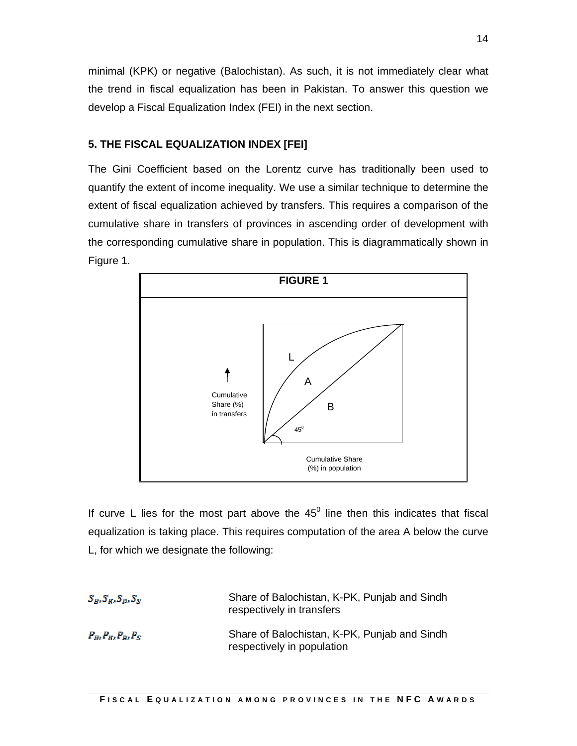minimal (KPK) or negative (Balochistan). As such, it is not immediately clear what the trend in fiscal equalization has been in Pakistan. To answer this question we develop a Fiscal Equalization Index (FEI) in the next section.

### **5. THE FISCAL EQUALIZATION INDEX [FEI]**

The Gini Coefficient based on the Lorentz curve has traditionally been used to quantify the extent of income inequality. We use a similar technique to determine the extent of fiscal equalization achieved by transfers. This requires a comparison of the cumulative share in transfers of provinces in ascending order of development with the corresponding cumulative share in population. This is diagrammatically shown in Figure 1.



If curve L lies for the most part above the  $45^0$  line then this indicates that fiscal equalization is taking place. This requires computation of the area A below the curve L, for which we designate the following:

| $S_B$ , $S_K$ , $S_P$ , $S_S$ | Share of Balochistan, K-PK, Punjab and Sindh<br>respectively in transfers  |
|-------------------------------|----------------------------------------------------------------------------|
| $P_B, P_K, P_P, P_S$          | Share of Balochistan, K-PK, Punjab and Sindh<br>respectively in population |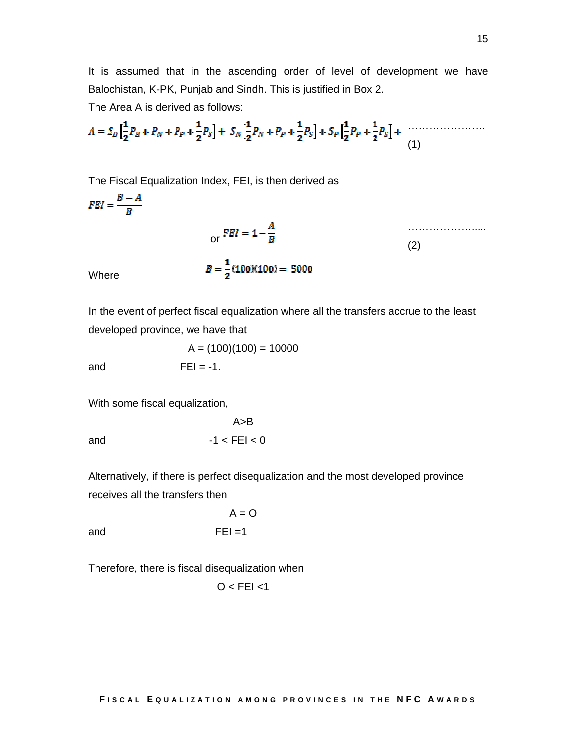It is assumed that in the ascending order of level of development we have Balochistan, K-PK, Punjab and Sindh. This is justified in Box 2.

The Area A is derived as follows:

$$
A = S_B \left[ \frac{1}{2} P_B + P_N + P_P + \frac{1}{2} P_S \right] + S_N \left[ \frac{1}{2} P_N + P_P + \frac{1}{2} P_S \right] + S_P \left[ \frac{1}{2} P_P + \frac{1}{2} P_S \right] + \cdots \tag{1}
$$

The Fiscal Equalization Index, FEI, is then derived as

 $\mathit{FEI} = \frac{B-A}{B}$ 

$$
or \tFEI = 1 - \frac{A}{B} \t\t(2)
$$

Where  $B = \frac{1}{2}(100)(100) = 5000$ 

In the event of perfect fiscal equalization where all the transfers accrue to the least developed province, we have that

$$
A = (100)(100) = 10000
$$

and 
$$
FEI = -1.
$$

With some fiscal equalization,

$$
A>B
$$
 and  
-1 
$$
-1 < E = 0
$$

Alternatively, if there is perfect disequalization and the most developed province receives all the transfers then

 $A = O$  $F = 1$ 

Therefore, there is fiscal disequalization when

$$
O < FEl < 1
$$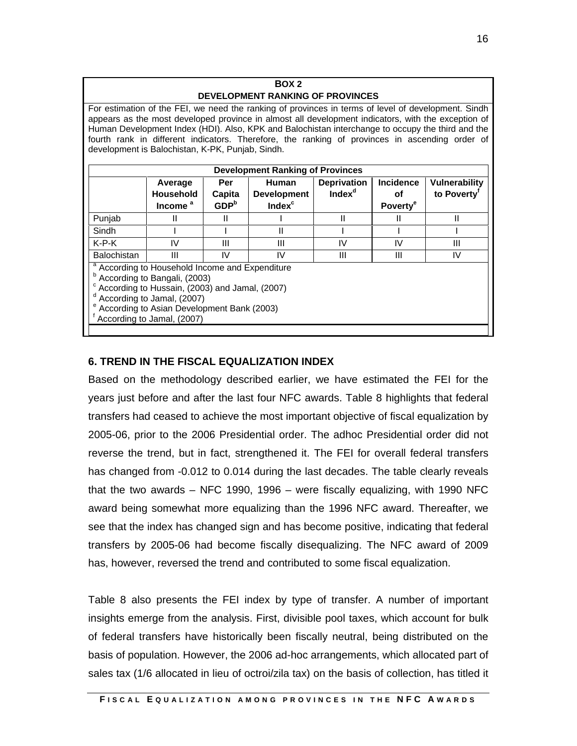### **BOX 2 BOX 2 DEVELOPMENT RANKING OF PROVINCES**

For estimation of the FEI, we need the ranking of provinces in terms of level of development. Sindh appears as the most developed province in almost all development indicators, with the exception of Human Development Index (HDI). Also, KPK and Balochistan interchange to occupy the third and the fourth rank in different indicators. Therefore, the ranking of provinces in ascending order of development is Balochistan, K-PK, Punjab, Sindh.

# **6. TREND IN THE FISCAL EQUALIZATION INDEX**

Based on the methodology described earlier, we have estimated the FEI for the years just before and after the last four NFC awards. Table 8 highlights that federal transfers had ceased to achieve the most important objective of fiscal equalization by 2005-06, prior to the 2006 Presidential order. The adhoc Presidential order did not reverse the trend, but in fact, strengthened it. The FEI for overall federal transfers has changed from -0.012 to 0.014 during the last decades. The table clearly reveals that the two awards – NFC 1990, 1996 – were fiscally equalizing, with 1990 NFC award being somewhat more equalizing than the 1996 NFC award. Thereafter, we see that the index has changed sign and has become positive, indicating that federal transfers by 2005-06 had become fiscally disequalizing. The NFC award of 2009 has, however, reversed the trend and contributed to some fiscal equalization.

Table 8 also presents the FEI index by type of transfer. A number of important insights emerge from the analysis. First, divisible pool taxes, which account for bulk of federal transfers have historically been fiscally neutral, being distributed on the basis of population. However, the 2006 ad-hoc arrangements, which allocated part of sales tax (1/6 allocated in lieu of octroi/zila tax) on the basis of collection, has titled it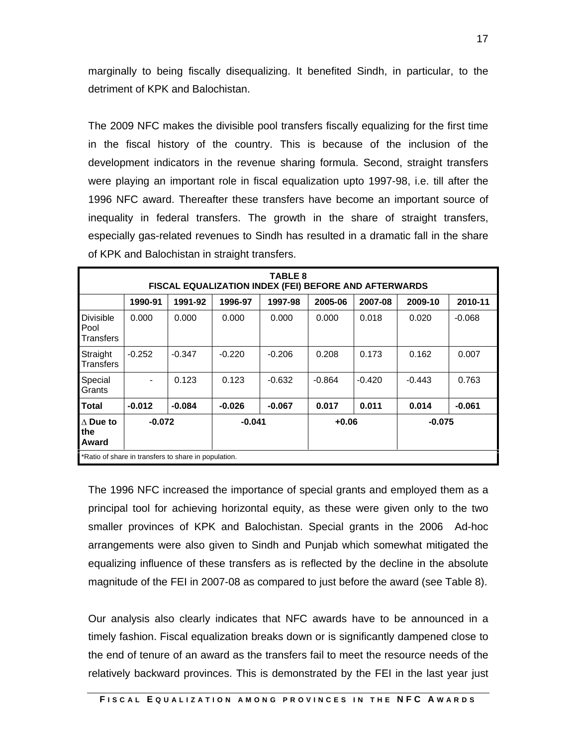marginally to being fiscally disequalizing. It benefited Sindh, in particular, to the detriment of KPK and Balochistan.

The 2009 NFC makes the divisible pool transfers fiscally equalizing for the first time in the fiscal history of the country. This is because of the inclusion of the development indicators in the revenue sharing formula. Second, straight transfers were playing an important role in fiscal equalization upto 1997-98, i.e. till after the 1996 NFC award. Thereafter these transfers have become an important source of inequality in federal transfers. The growth in the share of straight transfers, especially gas-related revenues to Sindh has resulted in a dramatic fall in the share of KPK and Balochistan in straight transfers.

|                                 | <b>TABLE 8</b><br>FISCAL EQUALIZATION INDEX (FEI) BEFORE AND AFTERWARDS |                                                      |          |          |          |                                         |          |          |  |
|---------------------------------|-------------------------------------------------------------------------|------------------------------------------------------|----------|----------|----------|-----------------------------------------|----------|----------|--|
|                                 | 1990-91                                                                 | 1991-92                                              | 1996-97  | 1997-98  |          | $\vert$ 2005-06 $\vert$ 2007-08 $\vert$ | 2009-10  | 2010-11  |  |
| Divisible<br>looʻ<br>Transfers  | 0.000                                                                   | 0.000                                                | 0.000    | 0.000    | 0.000    | 0.018                                   | 0.020    | $-0.068$ |  |
| Straight<br>Transfers           | $-0.252$                                                                | $-0.347$                                             | $-0.220$ | $-0.206$ | 0.208    | 0.173                                   | 0.162    | 0.007    |  |
| Special<br>Grants               |                                                                         | 0.123                                                | 0.123    | $-0.632$ | $-0.864$ | $-0.420$                                | $-0.443$ | 0.763    |  |
| <b>Total</b>                    | $-0.012$                                                                | $-0.084$                                             | $-0.026$ | $-0.067$ | 0.017    | 0.011                                   | 0.014    | $-0.061$ |  |
| $\Delta$ Due to<br>h۵.<br>Award |                                                                         | $-0.072$<br>$-0.041$                                 |          | $+0.06$  |          | $-0.075$                                |          |          |  |
|                                 |                                                                         | *Ratio of share in transfers to share in population. |          |          |          |                                         |          |          |  |

The 1996 NFC increased the importance of special grants and employed them as a principal tool for achieving horizontal equity, as these were given only to the two smaller provinces of KPK and Balochistan. Special grants in the 2006 Ad-hoc arrangements were also given to Sindh and Punjab which somewhat mitigated the equalizing influence of these transfers as is reflected by the decline in the absolute magnitude of the FEI in 2007-08 as compared to just before the award (see Table 8).

Our analysis also clearly indicates that NFC awards have to be announced in a timely fashion. Fiscal equalization breaks down or is significantly dampened close to the end of tenure of an award as the transfers fail to meet the resource needs of the relatively backward provinces. This is demonstrated by the FEI in the last year just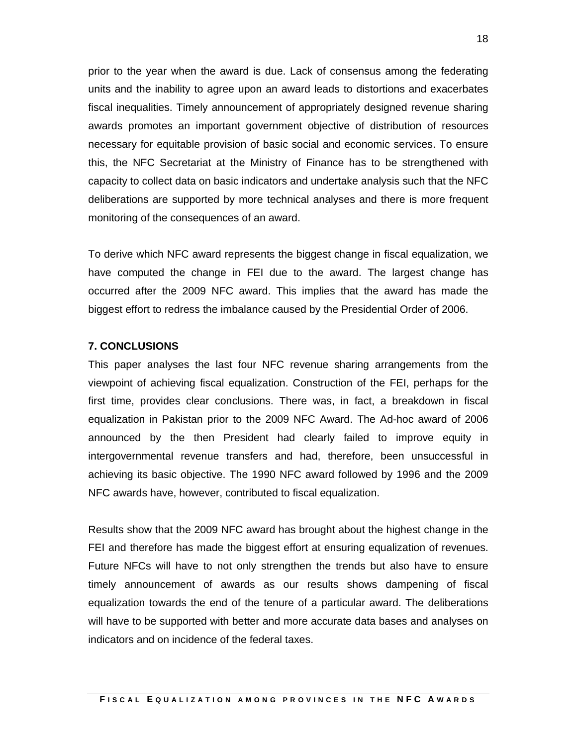prior to the year when the award is due. Lack of consensus among the federating units and the inability to agree upon an award leads to distortions and exacerbates fiscal inequalities. Timely announcement of appropriately designed revenue sharing awards promotes an important government objective of distribution of resources necessary for equitable provision of basic social and economic services. To ensure this, the NFC Secretariat at the Ministry of Finance has to be strengthened with capacity to collect data on basic indicators and undertake analysis such that the NFC deliberations are supported by more technical analyses and there is more frequent monitoring of the consequences of an award.

To derive which NFC award represents the biggest change in fiscal equalization, we have computed the change in FEI due to the award. The largest change has occurred after the 2009 NFC award. This implies that the award has made the biggest effort to redress the imbalance caused by the Presidential Order of 2006.

### **7. CONCLUSIONS**

This paper analyses the last four NFC revenue sharing arrangements from the viewpoint of achieving fiscal equalization. Construction of the FEI, perhaps for the first time, provides clear conclusions. There was, in fact, a breakdown in fiscal equalization in Pakistan prior to the 2009 NFC Award. The Ad-hoc award of 2006 announced by the then President had clearly failed to improve equity in intergovernmental revenue transfers and had, therefore, been unsuccessful in achieving its basic objective. The 1990 NFC award followed by 1996 and the 2009 NFC awards have, however, contributed to fiscal equalization.

Results show that the 2009 NFC award has brought about the highest change inthe FEI and therefore has made the biggest effort at ensuring equalization of revenues. Future NFCs will have to not only strengthen the trends but also have to ensure timely announcement of awards as our results shows dampening of fiscal equalization towards the end of the tenure of a particular award. The deliberations will have to be supported with better and more accurate data bases and analyses on indicators and on incidence of the federal taxes.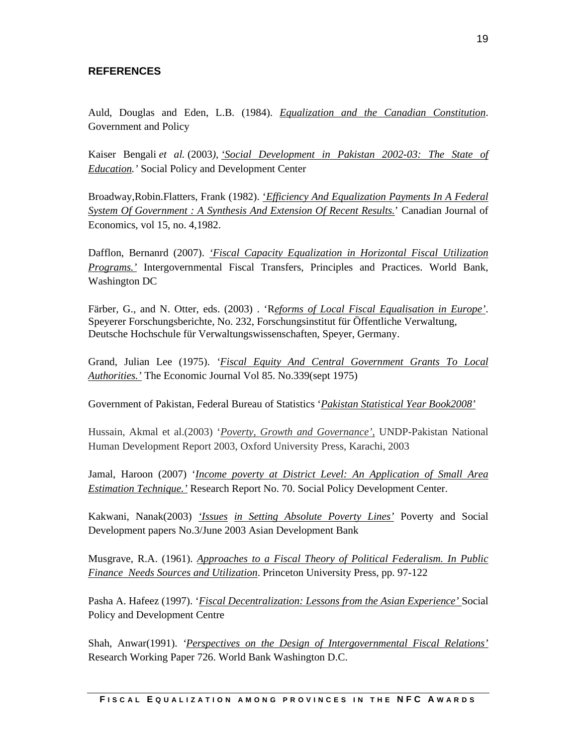## **REFERENCES**

Auld, Douglas and Eden, L.B. (1984). *Equalization and the Canadian Constitution*. Government and Policy

Kaiser Bengali *et al.* (2003*), 'Social Development in Pakistan 2002-03: The State of Education.'* Social Policy and Development Center

Broadway,Robin.Flatters, Frank (1982). '*Ef iciency And Equalization Payments In A Federal System Of Government : A Synthesis And Extension Of Recent Results.*' Canadian Journal of Economics, vol 15, no. 4,1982.

Dafflon, Bernanrd (2007). *'Fiscal Capacity Equalization in Horizontal Fiscal Utilization Programs.'* Intergovernmental Fiscal Transfers, Principles and Practices. World Bank, Washington DC

Färber, G., and N. Otter, eds. (2003) . 'R*eforms of Local Fiscal Equalisation in Europe'*. Speyerer Forschungsberichte, No. 232, Forschungsinstitut für Öffentliche Verwaltung, Deutsche Hochschule für Verwaltungswissenschaften, Speyer, Germany.

Grand, Julian Lee (1975). *'Fiscal Equity And Central Government Grants To Local Authorities.'* The Economic Journal Vol 85. No.339(sept 1975)

Government of Pakistan, Federal Bureau of Statistics '*Pakistan Statistical Year Book2008'*

Hussain, Akmal et al.(2003) '*Poverty, Growth and Governance',* UNDP-Pakistan National Human Development Report 2003, Oxford University Press, Karachi, 2003

Jamal, Haroon (2007) '*Income poverty at District Level: An Application of Small Area Estimation Technique.'* Research Report No. 70. Social Policy Development Center.

Kakwani, Nanak(2003) *'Issues in Setting Absolute Poverty Lines'* Poverty and Social Development papers No.3/June 2003 Asian Development Bank

Musgrave, R.A. (1961). *Approaches to a Fiscal Theory of Political Federalism. In Public Finance Needs Sources and Utilization*. Princeton University Press, pp. 97-122

Pasha A. Hafeez (1997). '*Fiscal Decentralization: Lessons from the Asian Experience'* Social Policy and Development Centre

Shah, Anwar(1991). *'Perspectives on the Design of Intergovernmental Fiscal Relations'* Research Working Paper 726. World Bank Washington D.C.